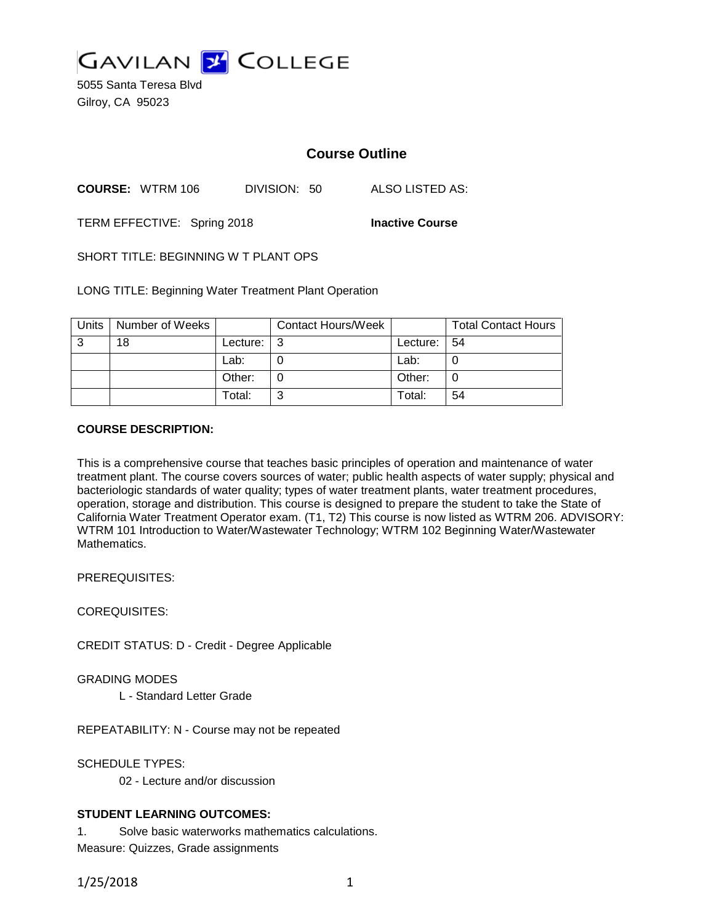

5055 Santa Teresa Blvd Gilroy, CA 95023

# **Course Outline**

**COURSE:** WTRM 106 DIVISION: 50 ALSO LISTED AS:

TERM EFFECTIVE: Spring 2018 **Inactive Course**

SHORT TITLE: BEGINNING W T PLANT OPS

LONG TITLE: Beginning Water Treatment Plant Operation

| Units | Number of Weeks |          | <b>Contact Hours/Week</b> |             | <b>Total Contact Hours</b> |
|-------|-----------------|----------|---------------------------|-------------|----------------------------|
| 3     | 18              | Lecture: | l 3                       | Lecture: 54 |                            |
|       |                 | Lab:     |                           | Lab:        |                            |
|       |                 | Other:   |                           | Other:      |                            |
|       |                 | Total:   | ົ                         | Total:      | 54                         |

# **COURSE DESCRIPTION:**

This is a comprehensive course that teaches basic principles of operation and maintenance of water treatment plant. The course covers sources of water; public health aspects of water supply; physical and bacteriologic standards of water quality; types of water treatment plants, water treatment procedures, operation, storage and distribution. This course is designed to prepare the student to take the State of California Water Treatment Operator exam. (T1, T2) This course is now listed as WTRM 206. ADVISORY: WTRM 101 Introduction to Water/Wastewater Technology; WTRM 102 Beginning Water/Wastewater Mathematics.

PREREQUISITES:

COREQUISITES:

CREDIT STATUS: D - Credit - Degree Applicable

GRADING MODES

L - Standard Letter Grade

REPEATABILITY: N - Course may not be repeated

SCHEDULE TYPES:

02 - Lecture and/or discussion

# **STUDENT LEARNING OUTCOMES:**

1. Solve basic waterworks mathematics calculations. Measure: Quizzes, Grade assignments

1/25/2018 1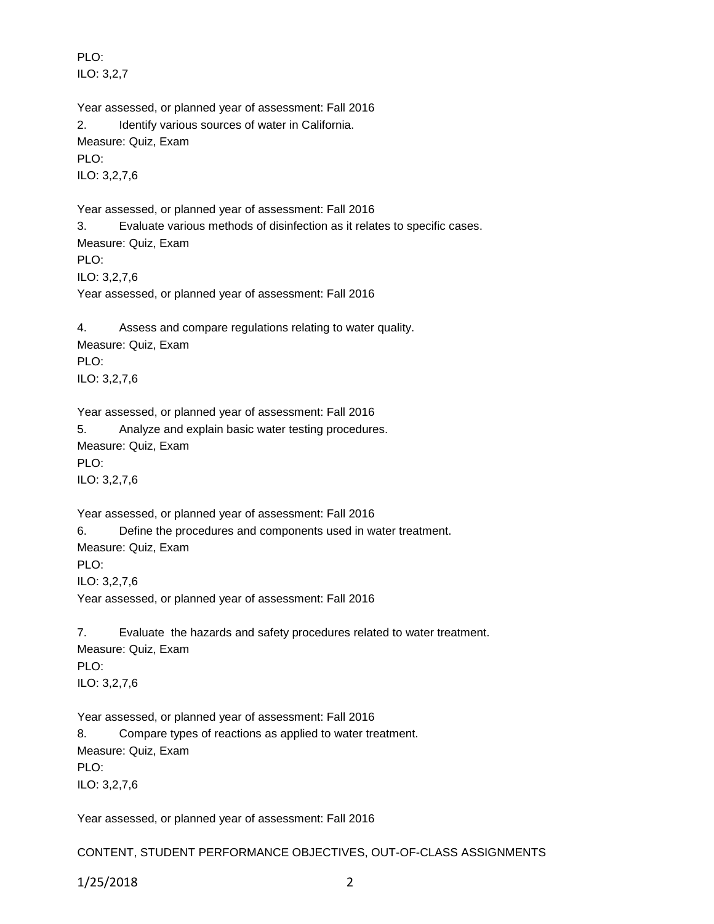PLO: ILO: 3,2,7

Year assessed, or planned year of assessment: Fall 2016 2. Identify various sources of water in California. Measure: Quiz, Exam PLO: ILO: 3,2,7,6

Year assessed, or planned year of assessment: Fall 2016 3. Evaluate various methods of disinfection as it relates to specific cases. Measure: Quiz, Exam PLO: ILO: 3,2,7,6 Year assessed, or planned year of assessment: Fall 2016

4. Assess and compare regulations relating to water quality. Measure: Quiz, Exam PLO: ILO: 3,2,7,6

Year assessed, or planned year of assessment: Fall 2016 5. Analyze and explain basic water testing procedures. Measure: Quiz, Exam PLO: ILO: 3,2,7,6

Year assessed, or planned year of assessment: Fall 2016 6. Define the procedures and components used in water treatment. Measure: Quiz, Exam PLO: ILO: 3,2,7,6

Year assessed, or planned year of assessment: Fall 2016

7. Evaluate the hazards and safety procedures related to water treatment. Measure: Quiz, Exam PLO: ILO: 3,2,7,6

Year assessed, or planned year of assessment: Fall 2016 8. Compare types of reactions as applied to water treatment. Measure: Quiz, Exam PLO: ILO: 3,2,7,6

Year assessed, or planned year of assessment: Fall 2016

CONTENT, STUDENT PERFORMANCE OBJECTIVES, OUT-OF-CLASS ASSIGNMENTS

1/25/2018 2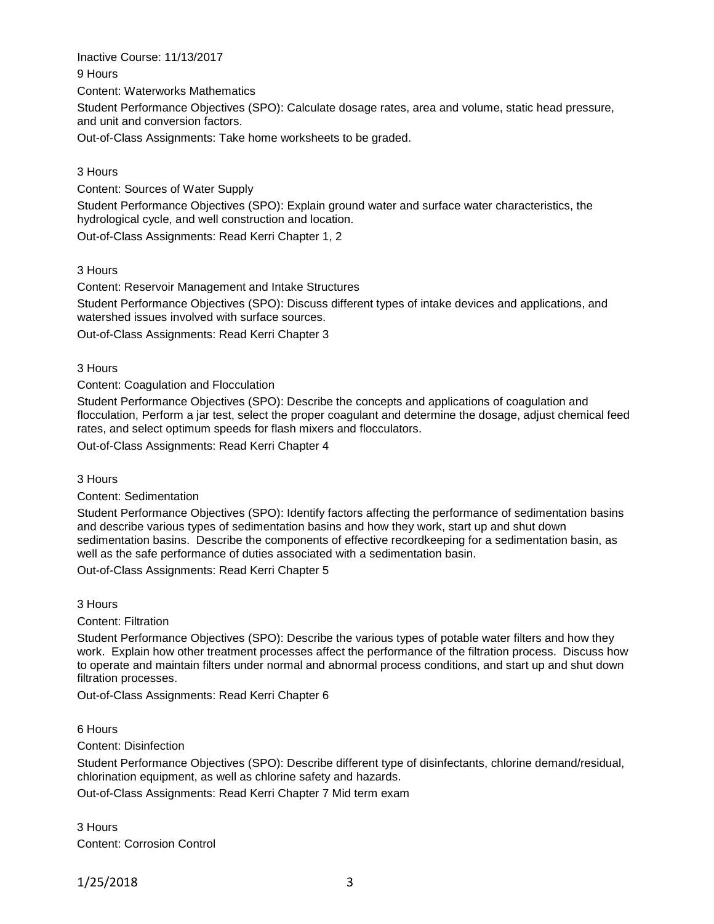Inactive Course: 11/13/2017 9 Hours Content: Waterworks Mathematics Student Performance Objectives (SPO): Calculate dosage rates, area and volume, static head pressure, and unit and conversion factors.

Out-of-Class Assignments: Take home worksheets to be graded.

## 3 Hours

Content: Sources of Water Supply

Student Performance Objectives (SPO): Explain ground water and surface water characteristics, the hydrological cycle, and well construction and location.

Out-of-Class Assignments: Read Kerri Chapter 1, 2

#### 3 Hours

Content: Reservoir Management and Intake Structures

Student Performance Objectives (SPO): Discuss different types of intake devices and applications, and watershed issues involved with surface sources.

Out-of-Class Assignments: Read Kerri Chapter 3

3 Hours

Content: Coagulation and Flocculation

Student Performance Objectives (SPO): Describe the concepts and applications of coagulation and flocculation, Perform a jar test, select the proper coagulant and determine the dosage, adjust chemical feed rates, and select optimum speeds for flash mixers and flocculators.

Out-of-Class Assignments: Read Kerri Chapter 4

3 Hours

#### Content: Sedimentation

Student Performance Objectives (SPO): Identify factors affecting the performance of sedimentation basins and describe various types of sedimentation basins and how they work, start up and shut down sedimentation basins. Describe the components of effective recordkeeping for a sedimentation basin, as well as the safe performance of duties associated with a sedimentation basin.

Out-of-Class Assignments: Read Kerri Chapter 5

3 Hours

Content: Filtration

Student Performance Objectives (SPO): Describe the various types of potable water filters and how they work. Explain how other treatment processes affect the performance of the filtration process. Discuss how to operate and maintain filters under normal and abnormal process conditions, and start up and shut down filtration processes.

Out-of-Class Assignments: Read Kerri Chapter 6

6 Hours

Content: Disinfection

Student Performance Objectives (SPO): Describe different type of disinfectants, chlorine demand/residual, chlorination equipment, as well as chlorine safety and hazards.

Out-of-Class Assignments: Read Kerri Chapter 7 Mid term exam

3 Hours Content: Corrosion Control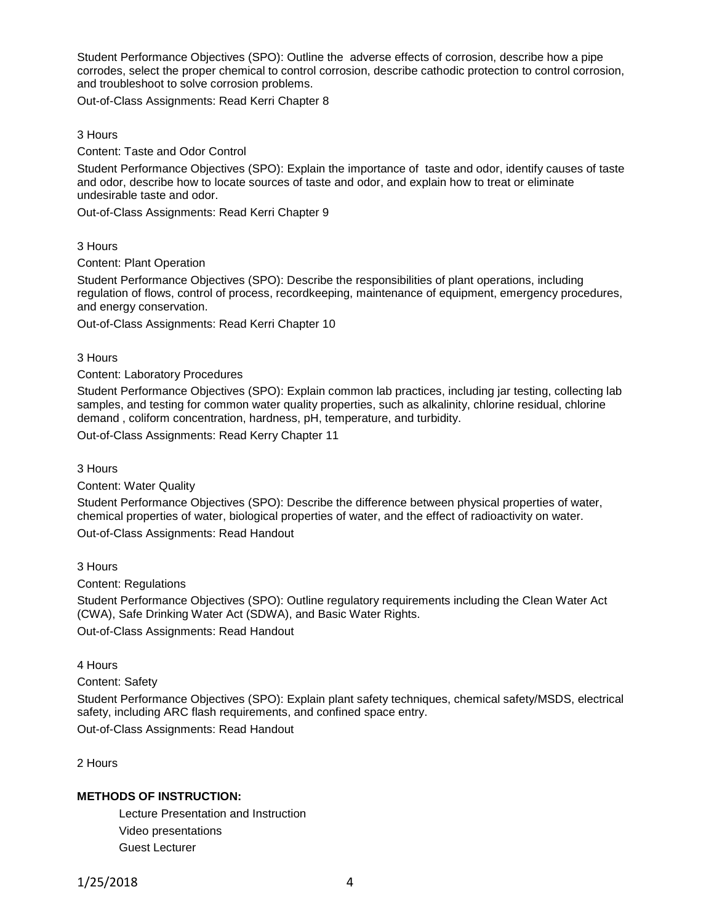Student Performance Objectives (SPO): Outline the adverse effects of corrosion, describe how a pipe corrodes, select the proper chemical to control corrosion, describe cathodic protection to control corrosion, and troubleshoot to solve corrosion problems.

Out-of-Class Assignments: Read Kerri Chapter 8

## 3 Hours

Content: Taste and Odor Control

Student Performance Objectives (SPO): Explain the importance of taste and odor, identify causes of taste and odor, describe how to locate sources of taste and odor, and explain how to treat or eliminate undesirable taste and odor.

Out-of-Class Assignments: Read Kerri Chapter 9

3 Hours

Content: Plant Operation

Student Performance Objectives (SPO): Describe the responsibilities of plant operations, including regulation of flows, control of process, recordkeeping, maintenance of equipment, emergency procedures, and energy conservation.

Out-of-Class Assignments: Read Kerri Chapter 10

3 Hours

Content: Laboratory Procedures

Student Performance Objectives (SPO): Explain common lab practices, including jar testing, collecting lab samples, and testing for common water quality properties, such as alkalinity, chlorine residual, chlorine demand , coliform concentration, hardness, pH, temperature, and turbidity.

Out-of-Class Assignments: Read Kerry Chapter 11

3 Hours

Content: Water Quality

Student Performance Objectives (SPO): Describe the difference between physical properties of water, chemical properties of water, biological properties of water, and the effect of radioactivity on water. Out-of-Class Assignments: Read Handout

3 Hours

Content: Regulations

Student Performance Objectives (SPO): Outline regulatory requirements including the Clean Water Act (CWA), Safe Drinking Water Act (SDWA), and Basic Water Rights. Out-of-Class Assignments: Read Handout

4 Hours

Content: Safety

Student Performance Objectives (SPO): Explain plant safety techniques, chemical safety/MSDS, electrical safety, including ARC flash requirements, and confined space entry.

Out-of-Class Assignments: Read Handout

2 Hours

# **METHODS OF INSTRUCTION:**

Lecture Presentation and Instruction Video presentations Guest Lecturer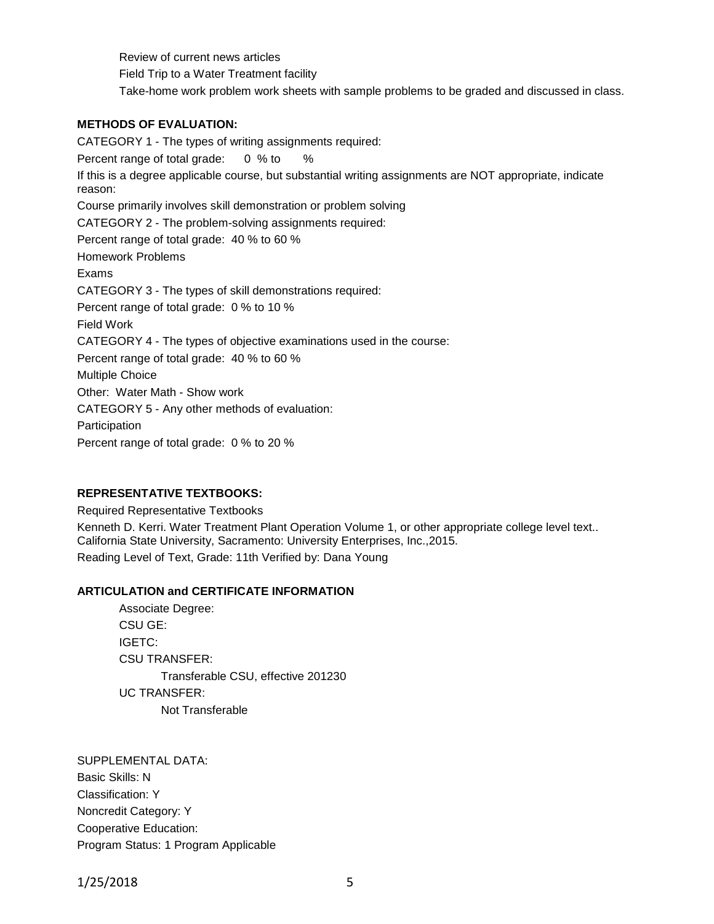Review of current news articles Field Trip to a Water Treatment facility Take-home work problem work sheets with sample problems to be graded and discussed in class.

# **METHODS OF EVALUATION:**

CATEGORY 1 - The types of writing assignments required: Percent range of total grade: 0 % to % If this is a degree applicable course, but substantial writing assignments are NOT appropriate, indicate reason: Course primarily involves skill demonstration or problem solving CATEGORY 2 - The problem-solving assignments required: Percent range of total grade: 40 % to 60 % Homework Problems Exams CATEGORY 3 - The types of skill demonstrations required: Percent range of total grade: 0 % to 10 % Field Work CATEGORY 4 - The types of objective examinations used in the course: Percent range of total grade: 40 % to 60 % Multiple Choice Other: Water Math - Show work CATEGORY 5 - Any other methods of evaluation: Participation Percent range of total grade: 0 % to 20 %

# **REPRESENTATIVE TEXTBOOKS:**

Required Representative Textbooks Kenneth D. Kerri. Water Treatment Plant Operation Volume 1, or other appropriate college level text.. California State University, Sacramento: University Enterprises, Inc.,2015. Reading Level of Text, Grade: 11th Verified by: Dana Young

## **ARTICULATION and CERTIFICATE INFORMATION**

Associate Degree: CSU GE: IGETC: CSU TRANSFER: Transferable CSU, effective 201230 UC TRANSFER: Not Transferable

SUPPLEMENTAL DATA: Basic Skills: N Classification: Y Noncredit Category: Y Cooperative Education: Program Status: 1 Program Applicable

1/25/2018 5